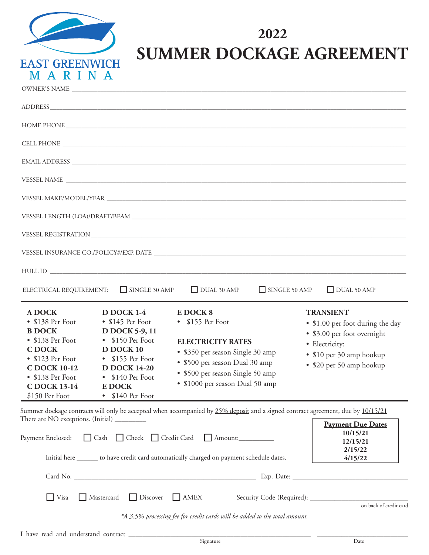

## **2022 SUMMER DOCKAGE AGREEMENT**

|                                                                                                                                                                                  |                                                                                                                                                                                                                              | ADDRESS                                                                                                                                                                                                                        |                      |                                                                                                                                                               |
|----------------------------------------------------------------------------------------------------------------------------------------------------------------------------------|------------------------------------------------------------------------------------------------------------------------------------------------------------------------------------------------------------------------------|--------------------------------------------------------------------------------------------------------------------------------------------------------------------------------------------------------------------------------|----------------------|---------------------------------------------------------------------------------------------------------------------------------------------------------------|
|                                                                                                                                                                                  |                                                                                                                                                                                                                              | HOME PHONE CONTRACT CONTRACT CONTRACT ON THE SERVICE OF STREET AND THE SERVICE OF STREET AND THE SERVICE OF STREET AND THE SERVICE OF STREET AND THE SERVICE OF STREET AND THE SERVICE OF STREET AND THE SERVICE OF STREET AND |                      |                                                                                                                                                               |
|                                                                                                                                                                                  |                                                                                                                                                                                                                              |                                                                                                                                                                                                                                |                      |                                                                                                                                                               |
|                                                                                                                                                                                  |                                                                                                                                                                                                                              |                                                                                                                                                                                                                                |                      |                                                                                                                                                               |
|                                                                                                                                                                                  |                                                                                                                                                                                                                              |                                                                                                                                                                                                                                |                      |                                                                                                                                                               |
|                                                                                                                                                                                  |                                                                                                                                                                                                                              |                                                                                                                                                                                                                                |                      |                                                                                                                                                               |
|                                                                                                                                                                                  |                                                                                                                                                                                                                              |                                                                                                                                                                                                                                |                      |                                                                                                                                                               |
|                                                                                                                                                                                  |                                                                                                                                                                                                                              |                                                                                                                                                                                                                                |                      |                                                                                                                                                               |
|                                                                                                                                                                                  |                                                                                                                                                                                                                              |                                                                                                                                                                                                                                |                      |                                                                                                                                                               |
|                                                                                                                                                                                  |                                                                                                                                                                                                                              |                                                                                                                                                                                                                                |                      |                                                                                                                                                               |
| ELECTRICAL REQUIREMENT:                                                                                                                                                          | $\Box$ SINGLE 30 AMP                                                                                                                                                                                                         | $\Box$ DUAL 30 AMP                                                                                                                                                                                                             | $\Box$ SINGLE 50 AMP | $\Box$ DUAL 50 AMP                                                                                                                                            |
| <b>A DOCK</b><br>• \$138 Per Foot<br><b>B DOCK</b><br>• \$138 Per Foot<br><b>CDOCK</b><br>• \$123 Per Foot<br>C DOCK 10-12<br>• \$138 Per Foot<br>C DOCK 13-14<br>\$150 Per Foot | <b>D DOCK 1-4</b><br>$\bullet$ \$145 Per Foot<br>D DOCK 5-9, 11<br>$\bullet$ \$150 Per Foot<br>D DOCK 10<br>• \$155 Per Foot<br><b>D DOCK 14-20</b><br>$\bullet$ \$140 Per Foot<br><b>E DOCK</b><br>$\bullet$ \$140 Per Foot | E DOCK 8<br>• \$155 Per Foot<br><b>ELECTRICITY RATES</b><br>• \$350 per season Single 30 amp<br>• \$500 per season Dual 30 amp<br>• \$500 per season Single 50 amp<br>• \$1000 per season Dual 50 amp                          |                      | <b>TRANSIENT</b><br>• \$1.00 per foot during the day<br>• \$3.00 per foot overnight<br>· Electricity:<br>• \$10 per 30 amp hookup<br>• \$20 per 50 amp hookup |

Summer dockage contracts will only be accepted when accompanied by 25% deposit and a signed contract agreement, due by 10/15/21 There are NO exceptions. (Initial) \_\_\_\_\_\_\_\_\_  $\Box$ **Payment Due Dates**

| Payment Enclosed: Cash Check Credit Card Amount:<br>Initial here _______ to have credit card automatically charged on payment schedule dates. | rayment Due Dates<br>10/15/21<br>12/15/21<br>2/15/22<br>4/15/22 |
|-----------------------------------------------------------------------------------------------------------------------------------------------|-----------------------------------------------------------------|
|                                                                                                                                               |                                                                 |
| Mastercard Discover AMEX<br>$\Box$ Visa                                                                                                       | on back of credit card                                          |
| *A 3.5% processing fee for credit cards will be added to the total amount.                                                                    |                                                                 |

٦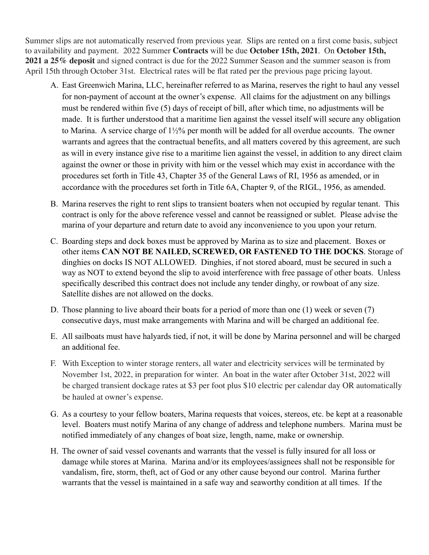subject to availability and payment. 2021 Summer **Contracts** will be due on **October 15<sup>t</sup><sup>h</sup>, 2020**. On October to availability and payment. 2022 Summer Contracts will be due October 15th, 2021. On October 15th, 2021 a 25% deposit and signed contract is due for the 2022 Summer Season and the summer season is from April 15th through October 31st. Electrical rates will be flat rated per the previous page pricing layout. Summer slips are not automatically reserved from previous year. Slips are rented on a first come basis, subject

- A. East Greenwich Marina, LLC, hereinafter referred to as Marina, reserves the right to haul any vessel for non-payment of account at the owner's expense. All claims for the adjustment on any billings must be rendered within five (5) days of receipt of bill, after which time, no adjustments will be made. It is further understood that a maritime lien against the vessel itself will secure any obligation to Marina. A service charge of 1½% per month will be added for all overdue accounts. The owner warrants and agrees that the contractual benefits, and all matters covered by this agreement, are such as will in every instance give rise to a maritime lien against the vessel, in addition to any direct claim against the owner or those in privity with him or the vessel which may exist in accordance with the procedures set forth in Title 43, Chapter 35 of the General Laws of RI, 1956 as amended, or in accordance with the procedures set forth in Title 6A, Chapter 9, of the RIGL, 1956, as amended.
- B. Marina reserves the right to rent slips to transient boaters when not occupied by regular tenant. This contract is only for the above reference vessel and cannot be reassigned or sublet. Please advise the marina of your departure and return date to avoid any inconvenience to you upon your return.
- C. Boarding steps and dock boxes must be approved by Marina as to size and placement. Boxes or other items **CAN NOT BE NAILED, SCREWED, OR FASTENED TO THE DOCKS**. Storage of dinghies on docks IS NOT ALLOWED. Dinghies, if not stored aboard, must be secured in such a way as NOT to extend beyond the slip to avoid interference with free passage of other boats. Unless specifically described this contract does not include any tender dinghy, or rowboat of any size. Satellite dishes are not allowed on the docks.
- D. Those planning to live aboard their boats for a period of more than one (1) week or seven (7) consecutive days, must make arrangements with Marina and will be charged an additional fee.
- E. All sailboats must have halyards tied, if not, it will be done by Marina personnel and will be charged an additional fee.
- F. With Exception to winter storage renters, all water and electricity services will be terminated by November 1st, 2022, in preparation for winter. An boat in the water after October 31st, 2022 will be charged transient dockage rates at \$3 per foot plus \$10 electric per calendar day OR automatically be hauled at owner's expense. be hauled at owner's expense.
- G. As a courtesy to your fellow boaters, Marina requests that voices, stereos, etc. be kept at a reasonable level. Boaters must notify Marina of any change of address and telephone numbers. Marina must be notified immediately of any changes of boat size, length, name, make or ownership.
- H. The owner of said vessel covenants and warrants that the vessel is fully insured for all loss or damage while stores at Marina. Marina and/or its employees/assignees shall not be responsible for vandalism, fire, storm, theft, act of God or any other cause beyond our control. Marina further warrants that the vessel is maintained in a safe way and seaworthy condition at all times. If the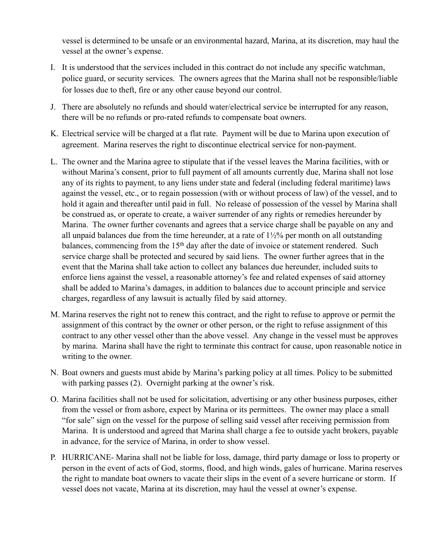vessel is determined to be unsafe or an environmental hazard, Marina, at its discretion, may haul the vessel at the owner's expense.

- I. It is understood that the services included in this contract do not include any specific watchman, police guard, or security services. The owners agrees that the Marina shall not be responsible/liable for losses due to theft, fire or any other cause beyond our control.
- J. There are absolutely no refunds and should water/electrical service be interrupted for any reason, there will be no refunds or pro-rated refunds to compensate boat owners.
- K. Electrical service will be charged at a flat rate. Payment will be due to Marina upon execution of agreement. Marina reserves the right to discontinue electrical service for non-payment.
- L. The owner and the Marina agree to stipulate that if the vessel leaves the Marina facilities, with or without Marina's consent, prior to full payment of all amounts currently due, Marina shall not lose any of its rights to payment, to any liens under state and federal (including federal maritime) laws against the vessel, etc., or to regain possession (with or without process of law) of the vessel, and to hold it again and thereafter until paid in full. No release of possession of the vessel by Marina shall be construed as, or operate to create, a waiver surrender of any rights or remedies hereunder by Marina. The owner further covenants and agrees that a service charge shall be payable on any and all unpaid balances due from the time hereunder, at a rate of  $1\frac{1}{2}\%$  per month on all outstanding balances, commencing from the  $15<sup>th</sup>$  day after the date of invoice or statement rendered. Such service charge shall be protected and secured by said liens. The owner further agrees that in the event that the Marina shall take action to collect any balances due hereunder, included suits to enforce liens against the vessel, a reasonable attorney's fee and related expenses of said attorney shall be added to Marina's damages, in addition to balances due to account principle and service charges, regardless of any lawsuit is actually filed by said attorney.
- M. Marina reserves the right not to renew this contract, and the right to refuse to approve or permit the assignment of this contract by the owner or other person, or the right to refuse assignment of this contract to any other vessel other than the above vessel. Any change in the vessel must be approves by marina. Marina shall have the right to terminate this contract for cause, upon reasonable notice in writing to the owner.
- N. Boat owners and guests must abide by Marina's parking policy at all times. Policy to be submitted with parking passes (2). Overnight parking at the owner's risk.
- O. Marina facilities shall not be used for solicitation, advertising or any other business purposes, either from the vessel or from ashore, expect by Marina or its permittees. The owner may place a small "for sale" sign on the vessel for the purpose of selling said vessel after receiving permission from Marina. It is understood and agreed that Marina shall charge a fee to outside yacht brokers, payable in advance, for the service of Marina, in order to show vessel.
- P. HURRICANE- Marina shall not be liable for loss, damage, third party damage or loss to property or person in the event of acts of God, storms, flood, and high winds, gales of hurricane. Marina reserves the right to mandate boat owners to vacate their slips in the event of a severe hurricane or storm. If vessel does not vacate, Marina at its discretion, may haul the vessel at owner's expense.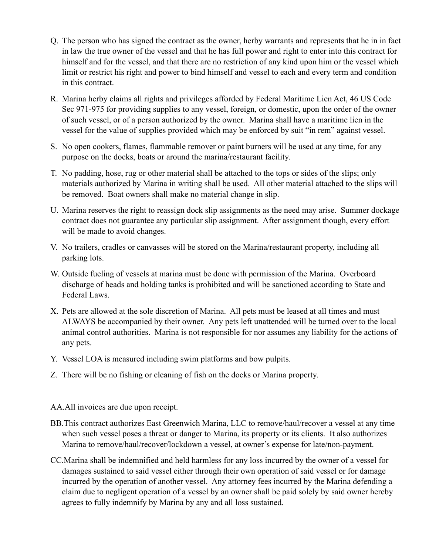- Q. The person who has signed the contract as the owner, herby warrants and represents that he in in fact in law the true owner of the vessel and that he has full power and right to enter into this contract for himself and for the vessel, and that there are no restriction of any kind upon him or the vessel which limit or restrict his right and power to bind himself and vessel to each and every term and condition in this contract.
- R. Marina herby claims all rights and privileges afforded by Federal Maritime Lien Act, 46 US Code Sec 971-975 for providing supplies to any vessel, foreign, or domestic, upon the order of the owner of such vessel, or of a person authorized by the owner. Marina shall have a maritime lien in the vessel for the value of supplies provided which may be enforced by suit "in rem" against vessel.
- S. No open cookers, flames, flammable remover or paint burners will be used at any time, for any purpose on the docks, boats or around the marina/restaurant facility.
- T. No padding, hose, rug or other material shall be attached to the tops or sides of the slips; only materials authorized by Marina in writing shall be used. All other material attached to the slips will be removed. Boat owners shall make no material change in slip.
- U. Marina reserves the right to reassign dock slip assignments as the need may arise. Summer dockage contract does not guarantee any particular slip assignment. After assignment though, every effort will be made to avoid changes.
- V. No trailers, cradles or canvasses will be stored on the Marina/restaurant property, including all parking lots.
- W. Outside fueling of vessels at marina must be done with permission of the Marina. Overboard discharge of heads and holding tanks is prohibited and will be sanctioned according to State and Federal Laws.
- X. Pets are allowed at the sole discretion of Marina. All pets must be leased at all times and must ALWAYS be accompanied by their owner. Any pets left unattended will be turned over to the local animal control authorities. Marina is not responsible for nor assumes any liability for the actions of any pets.
- Y. Vessel LOA is measured including swim platforms and bow pulpits.
- Z. There will be no fishing or cleaning of fish on the docks or Marina property.
- AA.All invoices are due upon receipt.
- BB.This contract authorizes East Greenwich Marina, LLC to remove/haul/recover a vessel at any time when such vessel poses a threat or danger to Marina, its property or its clients. It also authorizes Marina to remove/haul/recover/lockdown a vessel, at owner's expense for late/non-payment.
- CC.Marina shall be indemnified and held harmless for any loss incurred by the owner of a vessel for damages sustained to said vessel either through their own operation of said vessel or for damage incurred by the operation of another vessel. Any attorney fees incurred by the Marina defending a claim due to negligent operation of a vessel by an owner shall be paid solely by said owner hereby agrees to fully indemnify by Marina by any and all loss sustained.